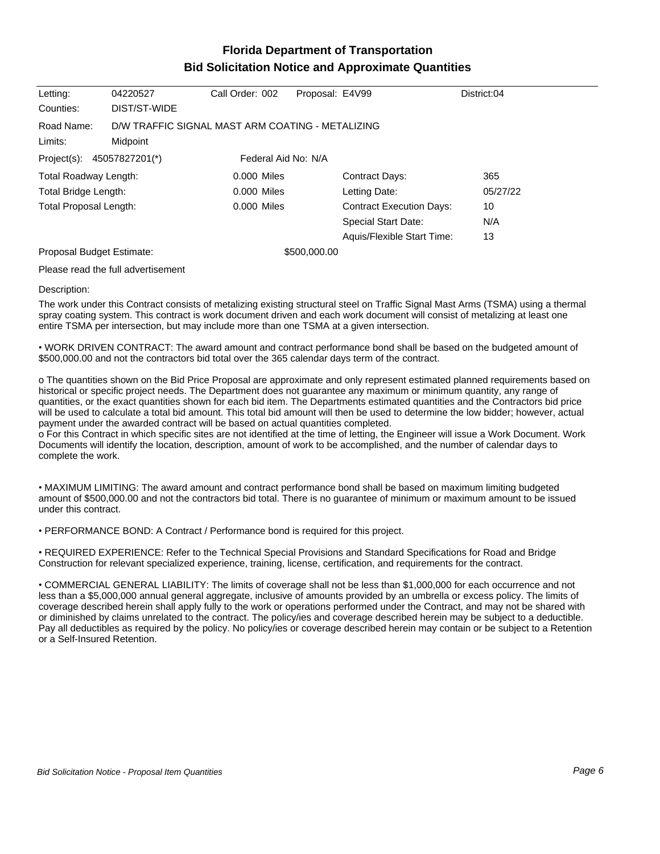## **Florida Department of Transportation Bid Solicitation Notice and Approximate Quantities**

| Letting:                  | 04220527                                         | Call Order: 002     | Proposal: E4V99 |                                 | District:04 |
|---------------------------|--------------------------------------------------|---------------------|-----------------|---------------------------------|-------------|
| Counties:                 | DIST/ST-WIDE                                     |                     |                 |                                 |             |
| Road Name:                | D/W TRAFFIC SIGNAL MAST ARM COATING - METALIZING |                     |                 |                                 |             |
| Limits:                   | Midpoint                                         |                     |                 |                                 |             |
| Project(s):               | 45057827201(*)                                   | Federal Aid No: N/A |                 |                                 |             |
| Total Roadway Length:     |                                                  | $0.000$ Miles       |                 | Contract Days:                  | 365         |
| Total Bridge Length:      |                                                  | $0.000$ Miles       |                 | Letting Date:                   | 05/27/22    |
| Total Proposal Length:    |                                                  | $0.000$ Miles       |                 | <b>Contract Execution Days:</b> | 10          |
|                           |                                                  |                     |                 | Special Start Date:             | N/A         |
|                           |                                                  |                     |                 | Aquis/Flexible Start Time:      | 13          |
| Proposal Budget Estimate: |                                                  |                     | \$500,000.00    |                                 |             |

Please read the full advertisement

## Description:

The work under this Contract consists of metalizing existing structural steel on Traffic Signal Mast Arms (TSMA) using a thermal spray coating system. This contract is work document driven and each work document will consist of metalizing at least one entire TSMA per intersection, but may include more than one TSMA at a given intersection.

WORK DRIVEN CONTRACT: The award amount and contract performance bond shall be based on the budgeted amount of \$500,000.00 and not the contractors bid total over the 365 calendar days term of the contract.

o The quantities shown on the Bid Price Proposal are approximate and only represent estimated planned requirements based on historical or specific project needs. The Department does not guarantee any maximum or minimum quantity, any range of quantities, or the exact quantities shown for each bid item. The Departments estimated quantities and the Contractors bid price will be used to calculate a total bid amount. This total bid amount will then be used to determine the low bidder; however, actual payment under the awarded contract will be based on actual quantities completed.

o For this Contract in which specific sites are not identified at the time of letting, the Engineer will issue a Work Document. Work Documents will identify the location, description, amount of work to be accomplished, and the number of calendar days to complete the work.

MAXIMUM LIMITING: The award amount and contract performance bond shall be based on maximum limiting budgeted amount of \$500,000.00 and not the contractors bid total. There is no guarantee of minimum or maximum amount to be issued under this contract.

PERFORMANCE BOND: A Contract / Performance bond is required for this project.

REQUIRED EXPERIENCE: Refer to the Technical Special Provisions and Standard Specifications for Road and Bridge Construction for relevant specialized experience, training, license, certification, and requirements for the contract.

COMMERCIAL GENERAL LIABILITY: The limits of coverage shall not be less than \$1,000,000 for each occurrence and not less than a \$5,000,000 annual general aggregate, inclusive of amounts provided by an umbrella or excess policy. The limits of coverage described herein shall apply fully to the work or operations performed under the Contract, and may not be shared with or diminished by claims unrelated to the contract. The policy/ies and coverage described herein may be subject to a deductible. Pay all deductibles as required by the policy. No policy/ies or coverage described herein may contain or be subject to a Retention or a Self-Insured Retention.